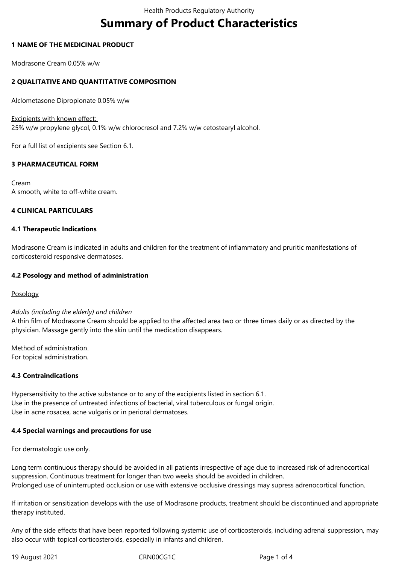# **Summary of Product Characteristics**

## **1 NAME OF THE MEDICINAL PRODUCT**

Modrasone Cream 0.05% w/w

# **2 QUALITATIVE AND QUANTITATIVE COMPOSITION**

Alclometasone Dipropionate 0.05% w/w

Excipients with known effect:

25% w/w propylene glycol, 0.1% w/w chlorocresol and 7.2% w/w cetostearyl alcohol.

For a full list of excipients see Section 6.1.

## **3 PHARMACEUTICAL FORM**

Cream A smooth, white to off-white cream.

#### **4 CLINICAL PARTICULARS**

#### **4.1 Therapeutic Indications**

Modrasone Cream is indicated in adults and children for the treatment of inflammatory and pruritic manifestations of corticosteroid responsive dermatoses.

#### **4.2 Posology and method of administration**

Posology

#### *Adults (including the elderly) and children*

A thin film of Modrasone Cream should be applied to the affected area two or three times daily or as directed by the physician. Massage gently into the skin until the medication disappears.

Method of administration For topical administration.

#### **4.3 Contraindications**

Hypersensitivity to the active substance or to any of the excipients listed in section 6.1. Use in the presence of untreated infections of bacterial, viral tuberculous or fungal origin. Use in acne rosacea, acne vulgaris or in perioral dermatoses.

#### **4.4 Special warnings and precautions for use**

For dermatologic use only.

Long term continuous therapy should be avoided in all patients irrespective of age due to increased risk of adrenocortical suppression. Continuous treatment for longer than two weeks should be avoided in children. Prolonged use of uninterrupted occlusion or use with extensive occlusive dressings may supress adrenocortical function.

If irritation or sensitization develops with the use of Modrasone products, treatment should be discontinued and appropriate therapy instituted.

Any of the side effects that have been reported following systemic use of corticosteroids, including adrenal suppression, may also occur with topical corticosteroids, especially in infants and children.

19 August 2021 CRN00CG1C Page 1 of 4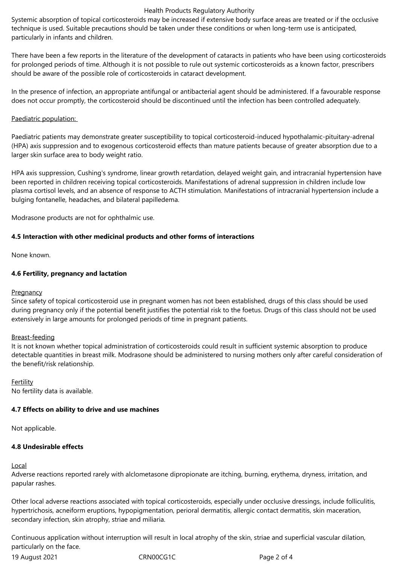#### Health Products Regulatory Authority

Systemic absorption of topical corticosteroids may be increased if extensive body surface areas are treated or if the occlusive technique is used. Suitable precautions should be taken under these conditions or when long-term use is anticipated, particularly in infants and children.

There have been a few reports in the literature of the development of cataracts in patients who have been using corticosteroids for prolonged periods of time. Although it is not possible to rule out systemic corticosteroids as a known factor, prescribers should be aware of the possible role of corticosteroids in cataract development.

In the presence of infection, an appropriate antifungal or antibacterial agent should be administered. If a favourable response does not occur promptly, the corticosteroid should be discontinued until the infection has been controlled adequately.

## Paediatric population:

Paediatric patients may demonstrate greater susceptibility to topical corticosteroid-induced hypothalamic-pituitary-adrenal (HPA) axis suppression and to exogenous corticosteroid effects than mature patients because of greater absorption due to a larger skin surface area to body weight ratio.

HPA axis suppression, Cushing's syndrome, linear growth retardation, delayed weight gain, and intracranial hypertension have been reported in children receiving topical corticosteroids. Manifestations of adrenal suppression in children include low plasma cortisol levels, and an absence of response to ACTH stimulation. Manifestations of intracranial hypertension include a bulging fontanelle, headaches, and bilateral papilledema.

Modrasone products are not for ophthalmic use.

## **4.5 Interaction with other medicinal products and other forms of interactions**

None known.

## **4.6 Fertility, pregnancy and lactation**

#### **Pregnancy**

Since safety of topical corticosteroid use in pregnant women has not been established, drugs of this class should be used during pregnancy only if the potential benefit justifies the potential risk to the foetus. Drugs of this class should not be used extensively in large amounts for prolonged periods of time in pregnant patients.

#### Breast-feeding

It is not known whether topical administration of corticosteroids could result in sufficient systemic absorption to produce detectable quantities in breast milk. Modrasone should be administered to nursing mothers only after careful consideration of the benefit/risk relationship.

Fertility No fertility data is available.

# **4.7 Effects on ability to drive and use machines**

Not applicable.

# **4.8 Undesirable effects**

#### Local

Adverse reactions reported rarely with alclometasone dipropionate are itching, burning, erythema, dryness, irritation, and papular rashes.

Other local adverse reactions associated with topical corticosteroids, especially under occlusive dressings, include folliculitis, hypertrichosis, acneiform eruptions, hypopigmentation, perioral dermatitis, allergic contact dermatitis, skin maceration, secondary infection, skin atrophy, striae and miliaria.

Continuous application without interruption will result in local atrophy of the skin, striae and superficial vascular dilation, particularly on the face.

19 August 2021 CRN00CG1C Page 2 of 4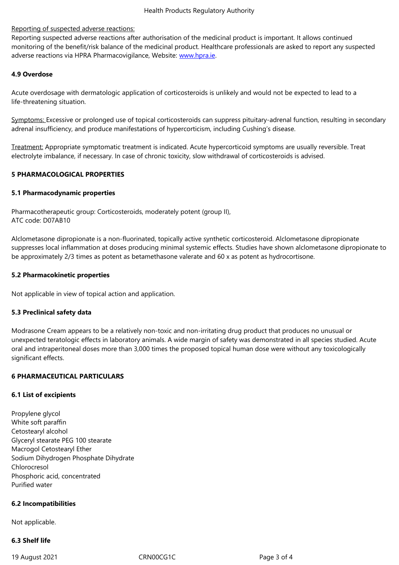Reporting suspected adverse reactions after authorisation of the medicinal product is important. It allows continued monitoring of the benefit/risk balance of the medicinal product. Healthcare professionals are asked to report any suspected adverse reactions via HPRA Pharmacovigilance, Website: www.hpra.ie.

# **4.9 Overdose**

Acute overdosage with dermatologic application of corti[costeroids is](http://www.hpra.ie/) unlikely and would not be expected to lead to a life-threatening situation.

Symptoms: Excessive or prolonged use of topical corticosteroids can suppress pituitary-adrenal function, resulting in secondary adrenal insufficiency, and produce manifestations of hypercorticism, including Cushing's disease.

Treatment: Appropriate symptomatic treatment is indicated. Acute hypercorticoid symptoms are usually reversible. Treat electrolyte imbalance, if necessary. In case of chronic toxicity, slow withdrawal of corticosteroids is advised.

#### **5 PHARMACOLOGICAL PROPERTIES**

#### **5.1 Pharmacodynamic properties**

Pharmacotherapeutic group: Corticosteroids, moderately potent (group II), ATC code: D07AB10

Alclometasone dipropionate is a non-fluorinated, topically active synthetic corticosteroid. Alclometasone dipropionate suppresses local inflammation at doses producing minimal systemic effects. Studies have shown alclometasone dipropionate to be approximately 2/3 times as potent as betamethasone valerate and 60 x as potent as hydrocortisone.

#### **5.2 Pharmacokinetic properties**

Not applicable in view of topical action and application.

#### **5.3 Preclinical safety data**

Modrasone Cream appears to be a relatively non-toxic and non-irritating drug product that produces no unusual or unexpected teratologic effects in laboratory animals. A wide margin of safety was demonstrated in all species studied. Acute oral and intraperitoneal doses more than 3,000 times the proposed topical human dose were without any toxicologically significant effects.

## **6 PHARMACEUTICAL PARTICULARS**

#### **6.1 List of excipients**

Propylene glycol White soft paraffin Cetostearyl alcohol Glyceryl stearate PEG 100 stearate Macrogol Cetostearyl Ether Sodium Dihydrogen Phosphate Dihydrate Chlorocresol Phosphoric acid, concentrated Purified water

#### **6.2 Incompatibilities**

Not applicable.

# **6.3 Shelf life**

19 August 2021 CRN00CG1C Page 3 of 4